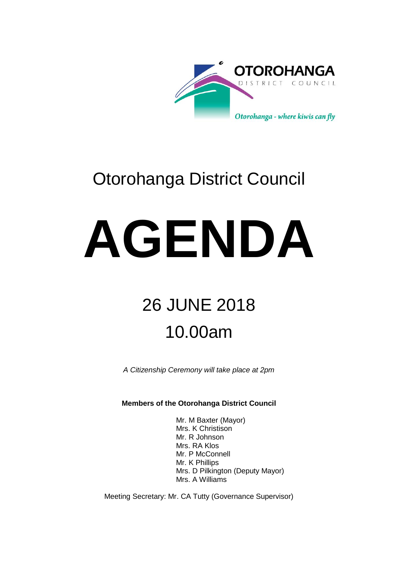

### Otorohanga District Council

# **AGENDA**

## 26 JUNE 2018 10.00am

*A Citizenship Ceremony will take place at 2pm* 

**Members of the Otorohanga District Council**

Mr. M Baxter (Mayor) Mrs. K Christison Mr. R Johnson Mrs. RA Klos Mr. P McConnell Mr. K Phillips Mrs. D Pilkington (Deputy Mayor) Mrs. A Williams

Meeting Secretary: Mr. CA Tutty (Governance Supervisor)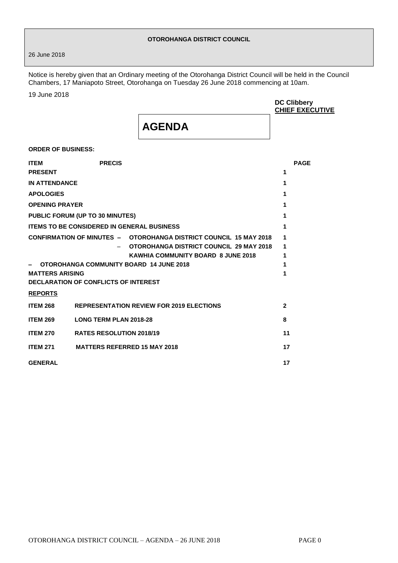#### **OTOROHANGA DISTRICT COUNCIL**

26 June 2018

Notice is hereby given that an Ordinary meeting of the Otorohanga District Council will be held in the Council Chambers, 17 Maniapoto Street, Otorohanga on Tuesday 26 June 2018 commencing at 10am.

19 June 2018

|                               |                                                   |                                                                                                                                                           | <b>DC Clibbery</b><br><b>CHIEF EXECUTIVE</b> |
|-------------------------------|---------------------------------------------------|-----------------------------------------------------------------------------------------------------------------------------------------------------------|----------------------------------------------|
|                               |                                                   | <b>AGENDA</b>                                                                                                                                             |                                              |
| <b>ORDER OF BUSINESS:</b>     |                                                   |                                                                                                                                                           |                                              |
| <b>ITEM</b><br><b>PRESENT</b> | <b>PRECIS</b>                                     |                                                                                                                                                           | <b>PAGE</b><br>1                             |
| <b>IN ATTENDANCE</b>          |                                                   |                                                                                                                                                           | 1                                            |
| <b>APOLOGIES</b>              |                                                   |                                                                                                                                                           | 1                                            |
| <b>OPENING PRAYER</b>         |                                                   |                                                                                                                                                           | 1                                            |
|                               | PUBLIC FORUM (UP TO 30 MINUTES)                   |                                                                                                                                                           | 1                                            |
|                               | <b>ITEMS TO BE CONSIDERED IN GENERAL BUSINESS</b> |                                                                                                                                                           | 1                                            |
|                               |                                                   | <b>CONFIRMATION OF MINUTES - OTOROHANGA DISTRICT COUNCIL 15 MAY 2018</b><br>OTOROHANGA DISTRICT COUNCIL 29 MAY 2018<br>KAWHIA COMMUNITY BOARD 8 JUNE 2018 | 1<br>1<br>1                                  |
|                               | OTOROHANGA COMMUNITY BOARD 14 JUNE 2018           |                                                                                                                                                           | 1                                            |
| <b>MATTERS ARISING</b>        | DECLARATION OF CONFLICTS OF INTEREST              |                                                                                                                                                           | 1                                            |
| <b>REPORTS</b>                |                                                   |                                                                                                                                                           |                                              |
| <b>ITEM 268</b>               |                                                   | <b>REPRESENTATION REVIEW FOR 2019 ELECTIONS</b>                                                                                                           | $\mathbf{2}$                                 |
| <b>ITEM 269</b>               | <b>LONG TERM PLAN 2018-28</b>                     |                                                                                                                                                           | 8                                            |
| <b>ITEM 270</b>               | <b>RATES RESOLUTION 2018/19</b>                   |                                                                                                                                                           | 11                                           |
| <b>ITEM 271</b>               | <b>MATTERS REFERRED 15 MAY 2018</b>               |                                                                                                                                                           | 17                                           |
| <b>GENERAL</b>                |                                                   |                                                                                                                                                           | 17                                           |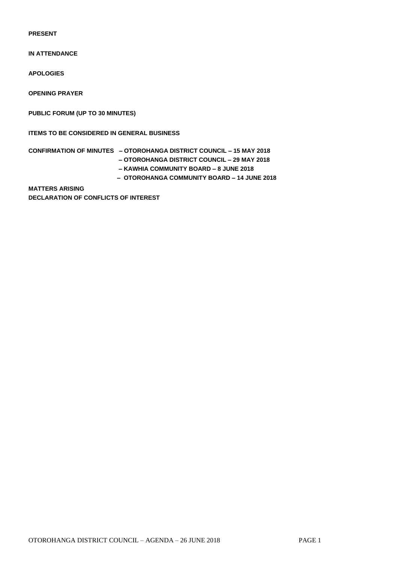**PRESENT**

**IN ATTENDANCE**

**APOLOGIES**

**OPENING PRAYER**

**PUBLIC FORUM (UP TO 30 MINUTES)** 

**ITEMS TO BE CONSIDERED IN GENERAL BUSINESS**

**CONFIRMATION OF MINUTES – OTOROHANGA DISTRICT COUNCIL – 15 MAY 2018 – OTOROHANGA DISTRICT COUNCIL – 29 MAY 2018**

- - **– KAWHIA COMMUNITY BOARD – 8 JUNE 2018 – OTOROHANGA COMMUNITY BOARD – 14 JUNE 2018**

**MATTERS ARISING DECLARATION OF CONFLICTS OF INTEREST**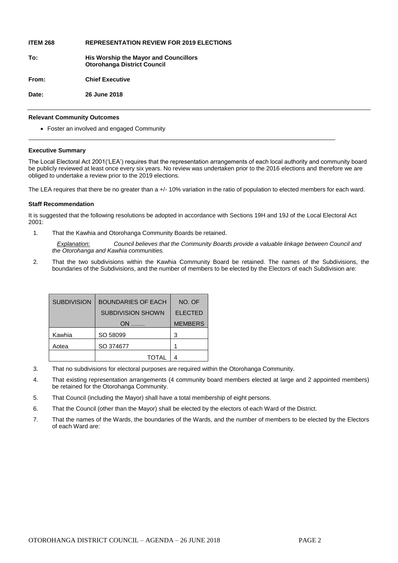#### **ITEM 268 REPRESENTATION REVIEW FOR 2019 ELECTIONS**

**To: His Worship the Mayor and Councillors Otorohanga District Council From: Chief Executive**

**Date: 26 June 2018**

#### **Relevant Community Outcomes**

Foster an involved and engaged Community

#### **Executive Summary**

The Local Electoral Act 2001('LEA') requires that the representation arrangements of each local authority and community board be publicly reviewed at least once every six years. No review was undertaken prior to the 2016 elections and therefore we are obliged to undertake a review prior to the 2019 elections.

The LEA requires that there be no greater than a +/- 10% variation in the ratio of population to elected members for each ward.

#### **Staff Recommendation**

It is suggested that the following resolutions be adopted in accordance with Sections 19H and 19J of the Local Electoral Act 2001:

1. That the Kawhia and Otorohanga Community Boards be retained.

*Explanation: Council believes that the Community Boards provide a valuable linkage between Council and the Otorohanga and Kawhia communities.*

2. That the two subdivisions within the Kawhia Community Board be retained. The names of the Subdivisions, the boundaries of the Subdivisions, and the number of members to be elected by the Electors of each Subdivision are:

| <b>SUBDIVISION</b> | <b>BOUNDARIES OF EACH</b> | NO. OF         |
|--------------------|---------------------------|----------------|
|                    | <b>SUBDIVISION SHOWN</b>  | <b>ELECTED</b> |
|                    | $ON$                      | <b>MEMBERS</b> |
| Kawhia             | SO 58099                  | з              |
| Aotea              | SO 374677                 |                |
|                    | TOTAL                     |                |

- 3. That no subdivisions for electoral purposes are required within the Otorohanga Community.
- 4. That existing representation arrangements (4 community board members elected at large and 2 appointed members) be retained for the Otorohanga Community.
- 5. That Council (including the Mayor) shall have a total membership of eight persons.
- 6. That the Council (other than the Mayor) shall be elected by the electors of each Ward of the District.
- 7. That the names of the Wards, the boundaries of the Wards, and the number of members to be elected by the Electors of each Ward are: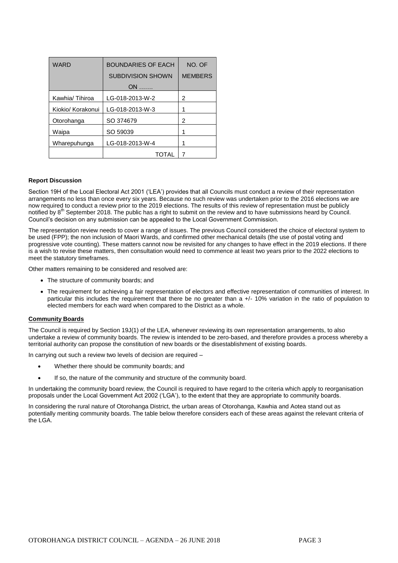| <b>WARD</b>       | <b>BOUNDARIES OF EACH</b> | NO. OF         |
|-------------------|---------------------------|----------------|
|                   | <b>SUBDIVISION SHOWN</b>  | <b>MEMBERS</b> |
|                   | $ON$                      |                |
| Kawhia/Tihiroa    | LG-018-2013-W-2           | 2              |
| Kiokio/ Korakonui | LG-018-2013-W-3           |                |
| Otorohanga        | SO 374679                 | 2              |
| Waipa             | SO 59039                  |                |
| Wharepuhunga      | LG-018-2013-W-4           |                |
|                   | <b>TOTAL</b>              |                |

#### **Report Discussion**

Section 19H of the Local Electoral Act 2001 ('LEA') provides that all Councils must conduct a review of their representation arrangements no less than once every six years. Because no such review was undertaken prior to the 2016 elections we are now required to conduct a review prior to the 2019 elections. The results of this review of representation must be publicly notified by 8<sup>th</sup> September 2018. The public has a right to submit on the review and to have submissions heard by Council. Council's decision on any submission can be appealed to the Local Government Commission.

The representation review needs to cover a range of issues. The previous Council considered the choice of electoral system to be used (FPP); the non inclusion of Maori Wards, and confirmed other mechanical details (the use of postal voting and progressive vote counting). These matters cannot now be revisited for any changes to have effect in the 2019 elections. If there is a wish to revise these matters, then consultation would need to commence at least two years prior to the 2022 elections to meet the statutory timeframes.

Other matters remaining to be considered and resolved are:

- The structure of community boards: and
- The requirement for achieving a fair representation of electors and effective representation of communities of interest. In particular this includes the requirement that there be no greater than a +/- 10% variation in the ratio of population to elected members for each ward when compared to the District as a whole.

#### **Community Boards**

The Council is required by Section 19J(1) of the LEA, whenever reviewing its own representation arrangements, to also undertake a review of community boards. The review is intended to be zero-based, and therefore provides a process whereby a territorial authority can propose the constitution of new boards or the disestablishment of existing boards.

In carrying out such a review two levels of decision are required –

- Whether there should be community boards; and
- If so, the nature of the community and structure of the community board.

In undertaking the community board review, the Council is required to have regard to the criteria which apply to reorganisation proposals under the Local Government Act 2002 ('LGA'), to the extent that they are appropriate to community boards.

In considering the rural nature of Otorohanga District, the urban areas of Otorohanga, Kawhia and Aotea stand out as potentially meriting community boards. The table below therefore considers each of these areas against the relevant criteria of the LGA.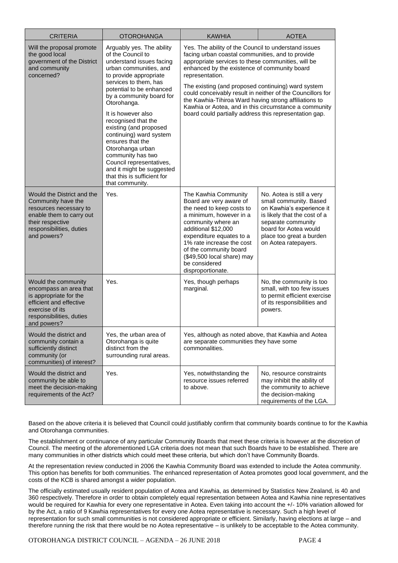| <b>CRITERIA</b>                                                                                                                                                       | <b>OTOROHANGA</b>                                                                                                                                                                                                                                                                                                                                                                                                                                                                                        | <b>KAWHIA</b>                                                                                                                                                                                                                                                                                                                                                                                                                                                                                                                     | <b>AOTEA</b>                                                                                                                                                                                                        |
|-----------------------------------------------------------------------------------------------------------------------------------------------------------------------|----------------------------------------------------------------------------------------------------------------------------------------------------------------------------------------------------------------------------------------------------------------------------------------------------------------------------------------------------------------------------------------------------------------------------------------------------------------------------------------------------------|-----------------------------------------------------------------------------------------------------------------------------------------------------------------------------------------------------------------------------------------------------------------------------------------------------------------------------------------------------------------------------------------------------------------------------------------------------------------------------------------------------------------------------------|---------------------------------------------------------------------------------------------------------------------------------------------------------------------------------------------------------------------|
| Will the proposal promote<br>the good local<br>government of the District<br>and community<br>concerned?                                                              | Arguably yes. The ability<br>of the Council to<br>understand issues facing<br>urban communities, and<br>to provide appropriate<br>services to them, has<br>potential to be enhanced<br>by a community board for<br>Otorohanga.<br>It is however also<br>recognised that the<br>existing (and proposed<br>continuing) ward system<br>ensures that the<br>Otorohanga urban<br>community has two<br>Council representatives,<br>and it might be suggested<br>that this is sufficient for<br>that community. | Yes. The ability of the Council to understand issues<br>facing urban coastal communities, and to provide<br>appropriate services to these communities, will be<br>enhanced by the existence of community board<br>representation.<br>The existing (and proposed continuing) ward system<br>could conceivably result in neither of the Councillors for<br>the Kawhia-Tihiroa Ward having strong affiliations to<br>Kawhia or Aotea, and in this circumstance a community<br>board could partially address this representation gap. |                                                                                                                                                                                                                     |
| Would the District and the<br>Community have the<br>resources necessary to<br>enable them to carry out<br>their respective<br>responsibilities, duties<br>and powers? | Yes.                                                                                                                                                                                                                                                                                                                                                                                                                                                                                                     | The Kawhia Community<br>Board are very aware of<br>the need to keep costs to<br>a minimum, however in a<br>community where an<br>additional \$12,000<br>expenditure equates to a<br>1% rate increase the cost<br>of the community board<br>(\$49,500 local share) may<br>be considered<br>disproportionate.                                                                                                                                                                                                                       | No. Aotea is still a very<br>small community. Based<br>on Kawhia's experience it<br>is likely that the cost of a<br>separate community<br>board for Aotea would<br>place too great a burden<br>on Aotea ratepayers. |
| Would the community<br>encompass an area that<br>is appropriate for the<br>efficient and effective<br>exercise of its<br>responsibilities, duties<br>and powers?      | Yes.                                                                                                                                                                                                                                                                                                                                                                                                                                                                                                     | Yes, though perhaps<br>marginal.                                                                                                                                                                                                                                                                                                                                                                                                                                                                                                  | No, the community is too<br>small, with too few issues<br>to permit efficient exercise<br>of its responsibilities and<br>powers.                                                                                    |
| Would the district and<br>community contain a<br>sufficiently distinct<br>community (or<br>communities) of interest?                                                  | Yes, the urban area of<br>Otorohanga is quite<br>distinct from the<br>surrounding rural areas.                                                                                                                                                                                                                                                                                                                                                                                                           | Yes, although as noted above, that Kawhia and Aotea<br>are separate communities they have some<br>commonalities.                                                                                                                                                                                                                                                                                                                                                                                                                  |                                                                                                                                                                                                                     |
| Would the district and<br>community be able to<br>meet the decision-making<br>requirements of the Act?                                                                | Yes.                                                                                                                                                                                                                                                                                                                                                                                                                                                                                                     | Yes, notwithstanding the<br>resource issues referred<br>to above.                                                                                                                                                                                                                                                                                                                                                                                                                                                                 | No, resource constraints<br>may inhibit the ability of<br>the community to achieve<br>the decision-making<br>requirements of the LGA.                                                                               |

Based on the above criteria it is believed that Council could justifiably confirm that community boards continue to for the Kawhia and Otorohanga communities.

The establishment or continuance of any particular Community Boards that meet these criteria is however at the discretion of Council. The meeting of the aforementioned LGA criteria does not mean that such Boards have to be established. There are many communities in other districts which could meet these criteria, but which don't have Community Boards.

At the representation review conducted in 2006 the Kawhia Community Board was extended to include the Aotea community. This option has benefits for both communities. The enhanced representation of Aotea promotes good local government, and the costs of the KCB is shared amongst a wider population.

The officially estimated usually resident population of Aotea and Kawhia, as determined by Statistics New Zealand, is 40 and 360 respectively. Therefore in order to obtain completely equal representation between Aotea and Kawhia nine representatives would be required for Kawhia for every one representative in Aotea. Even taking into account the +/- 10% variation allowed for by the Act, a ratio of 9 Kawhia representatives for every one Aotea representative is necessary. Such a high level of representation for such small communities is not considered appropriate or efficient. Similarly, having elections at large – and therefore running the risk that there would be no Aotea representative – is unlikely to be acceptable to the Aotea community.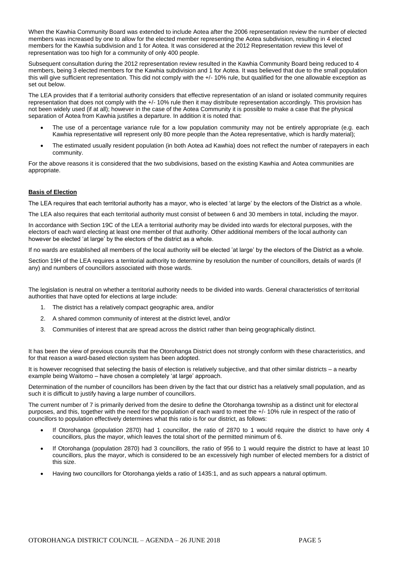When the Kawhia Community Board was extended to include Aotea after the 2006 representation review the number of elected members was increased by one to allow for the elected member representing the Aotea subdivision, resulting in 4 elected members for the Kawhia subdivision and 1 for Aotea. It was considered at the 2012 Representation review this level of representation was too high for a community of only 400 people.

Subsequent consultation during the 2012 representation review resulted in the Kawhia Community Board being reduced to 4 members, being 3 elected members for the Kawhia subdivision and 1 for Aotea. It was believed that due to the small population this will give sufficient representation. This did not comply with the +/- 10% rule, but qualified for the one allowable exception as set out below.

The LEA provides that if a territorial authority considers that effective representation of an island or isolated community requires representation that does not comply with the +/- 10% rule then it may distribute representation accordingly. This provision has not been widely used (if at all); however in the case of the Aotea Community it is possible to make a case that the physical separation of Aotea from Kawhia justifies a departure. In addition it is noted that:

- The use of a percentage variance rule for a low population community may not be entirely appropriate (e.g. each Kawhia representative will represent only 80 more people than the Aotea representative, which is hardly material);
- The estimated usually resident population (in both Aotea ad Kawhia) does not reflect the number of ratepayers in each community.

For the above reasons it is considered that the two subdivisions, based on the existing Kawhia and Aotea communities are appropriate.

#### **Basis of Election**

The LEA requires that each territorial authority has a mayor, who is elected 'at large' by the electors of the District as a whole.

The LEA also requires that each territorial authority must consist of between 6 and 30 members in total, including the mayor.

In accordance with Section 19C of the LEA a territorial authority may be divided into wards for electoral purposes, with the electors of each ward electing at least one member of that authority. Other additional members of the local authority can however be elected 'at large' by the electors of the district as a whole.

If no wards are established all members of the local authority will be elected 'at large' by the electors of the District as a whole.

Section 19H of the LEA requires a territorial authority to determine by resolution the number of councillors, details of wards (if any) and numbers of councillors associated with those wards.

The legislation is neutral on whether a territorial authority needs to be divided into wards. General characteristics of territorial authorities that have opted for elections at large include:

- 1. The district has a relatively compact geographic area, and/or
- 2. A shared common community of interest at the district level, and/or
- 3. Communities of interest that are spread across the district rather than being geographically distinct.

It has been the view of previous councils that the Otorohanga District does not strongly conform with these characteristics, and for that reason a ward-based election system has been adopted.

It is however recognised that selecting the basis of election is relatively subjective, and that other similar districts – a nearby example being Waitomo – have chosen a completely 'at large' approach.

Determination of the number of councillors has been driven by the fact that our district has a relatively small population, and as such it is difficult to justify having a large number of councillors.

The current number of 7 is primarily derived from the desire to define the Otorohanga township as a distinct unit for electoral purposes, and this, together with the need for the population of each ward to meet the +/- 10% rule in respect of the ratio of councillors to population effectively determines what this ratio is for our district, as follows:

- If Otorohanga (population 2870) had 1 councillor, the ratio of 2870 to 1 would require the district to have only 4 councillors, plus the mayor, which leaves the total short of the permitted minimum of 6.
- If Otorohanga (population 2870) had 3 councillors, the ratio of 956 to 1 would require the district to have at least 10 councillors, plus the mayor, which is considered to be an excessively high number of elected members for a district of this size.
- Having two councillors for Otorohanga yields a ratio of 1435:1, and as such appears a natural optimum.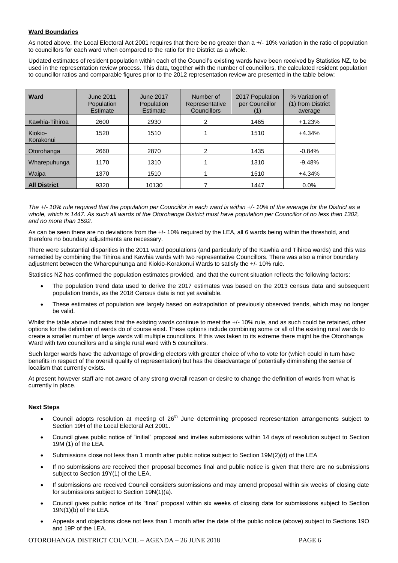#### **Ward Boundaries**

As noted above, the Local Electoral Act 2001 requires that there be no greater than a +/- 10% variation in the ratio of population to councillors for each ward when compared to the ratio for the District as a whole.

Updated estimates of resident population within each of the Council's existing wards have been received by Statistics NZ, to be used in the representation review process. This data, together with the number of councillors, the calculated resident population to councillor ratios and comparable figures prior to the 2012 representation review are presented in the table below;

| <b>Ward</b>          | June 2011<br>Population<br>Estimate | June 2017<br><b>Population</b><br>Estimate | Number of<br>Representative<br>Councillors | 2017 Population<br>per Councillor<br>(1) | % Variation of<br>(1) from District<br>average |
|----------------------|-------------------------------------|--------------------------------------------|--------------------------------------------|------------------------------------------|------------------------------------------------|
| Kawhia-Tihiroa       | 2600                                | 2930                                       | 2                                          | 1465                                     | $+1.23%$                                       |
| Kiokio-<br>Korakonui | 1520                                | 1510                                       |                                            | 1510                                     | $+4.34%$                                       |
| Otorohanga           | 2660                                | 2870                                       | 2                                          | 1435                                     | $-0.84%$                                       |
| Wharepuhunga         | 1170                                | 1310                                       |                                            | 1310                                     | $-9.48%$                                       |
| Waipa                | 1370                                | 1510                                       |                                            | 1510                                     | $+4.34%$                                       |
| <b>All District</b>  | 9320                                | 10130                                      |                                            | 1447                                     | 0.0%                                           |

*The +/- 10% rule required that the population per Councillor in each ward is within +/- 10% of the average for the District as a whole, which is 1447. As such all wards of the Otorohanga District must have population per Councillor of no less than 1302, and no more than 1592.*

As can be seen there are no deviations from the +/- 10% required by the LEA, all 6 wards being within the threshold, and therefore no boundary adjustments are necessary.

There were substantial disparities in the 2011 ward populations (and particularly of the Kawhia and Tihiroa wards) and this was remedied by combining the Tihiroa and Kawhia wards with two representative Councillors. There was also a minor boundary adjustment between the Wharepuhunga and Kiokio-Korakonui Wards to satisfy the +/- 10% rule.

Statistics NZ has confirmed the population estimates provided, and that the current situation reflects the following factors:

- The population trend data used to derive the 2017 estimates was based on the 2013 census data and subsequent population trends, as the 2018 Census data is not yet available.
- These estimates of population are largely based on extrapolation of previously observed trends, which may no longer be valid.

Whilst the table above indicates that the existing wards continue to meet the +/- 10% rule, and as such could be retained, other options for the definition of wards do of course exist. These options include combining some or all of the existing rural wards to create a smaller number of large wards will multiple councillors. If this was taken to its extreme there might be the Otorohanga Ward with two councillors and a single rural ward with 5 councillors.

Such larger wards have the advantage of providing electors with greater choice of who to vote for (which could in turn have benefits in respect of the overall quality of representation) but has the disadvantage of potentially diminishing the sense of localism that currently exists.

At present however staff are not aware of any strong overall reason or desire to change the definition of wards from what is currently in place.

#### **Next Steps**

- Council adopts resolution at meeting of  $26<sup>th</sup>$  June determining proposed representation arrangements subject to Section 19H of the Local Electoral Act 2001.
- Council gives public notice of "initial" proposal and invites submissions within 14 days of resolution subject to Section 19M (1) of the LEA.
- Submissions close not less than 1 month after public notice subject to Section 19M(2)(d) of the LEA
- If no submissions are received then proposal becomes final and public notice is given that there are no submissions subject to Section 19Y(1) of the LEA.
- If submissions are received Council considers submissions and may amend proposal within six weeks of closing date for submissions subject to Section 19N(1)(a).
- Council gives public notice of its "final" proposal within six weeks of closing date for submissions subject to Section 19N(1)(b) of the LEA.
- Appeals and objections close not less than 1 month after the date of the public notice (above) subject to Sections 19O and 19P of the LEA.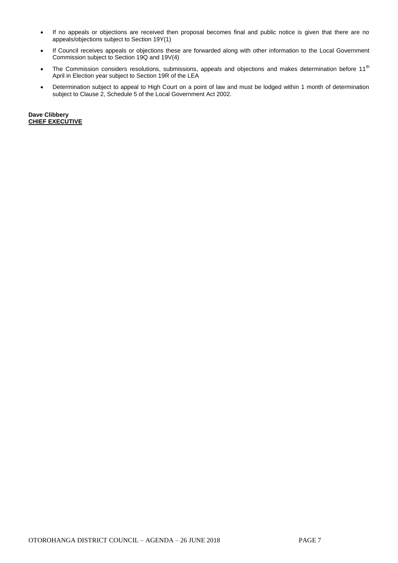- If no appeals or objections are received then proposal becomes final and public notice is given that there are no appeals/objections subject to Section 19Y(1)
- If Council receives appeals or objections these are forwarded along with other information to the Local Government Commission subject to Section 19Q and 19V(4)
- The Commission considers resolutions, submissions, appeals and objections and makes determination before 11<sup>th</sup> April in Election year subject to Section 19R of the LEA
- Determination subject to appeal to High Court on a point of law and must be lodged within 1 month of determination subject to Clause 2, Schedule 5 of the Local Government Act 2002.

**Dave Clibbery CHIEF EXECUTIVE**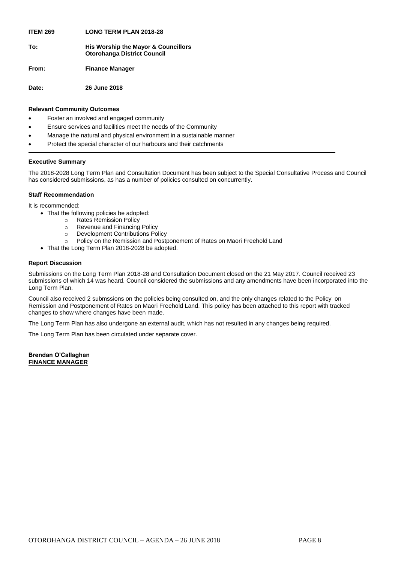**ITEM 269 LONG TERM PLAN 2018-28 To: His Worship the Mayor & Councillors Otorohanga District Council From: Finance Manager Date: 26 June 2018**

#### **Relevant Community Outcomes**

- Foster an involved and engaged community
- Ensure services and facilities meet the needs of the Community
- Manage the natural and physical environment in a sustainable manner
- Protect the special character of our harbours and their catchments

#### **Executive Summary**

The 2018-2028 Long Term Plan and Consultation Document has been subject to the Special Consultative Process and Council has considered submissions, as has a number of policies consulted on concurrently.

#### **Staff Recommendation**

It is recommended:

- That the following policies be adopted:
	- o Rates Remission Policy
	- o Revenue and Financing Policy
	- o Development Contributions Policy
	- o Policy on the Remission and Postponement of Rates on Maori Freehold Land
- That the Long Term Plan 2018-2028 be adopted.

#### **Report Discussion**

Submissions on the Long Term Plan 2018-28 and Consultation Document closed on the 21 May 2017. Council received 23 submissions of which 14 was heard. Council considered the submissions and any amendments have been incorporated into the Long Term Plan.

Council also received 2 submssions on the policies being consulted on, and the only changes related to the Policy on Remission and Postponement of Rates on Maori Freehold Land. This policy has been attached to this report with tracked changes to show where changes have been made.

The Long Term Plan has also undergone an external audit, which has not resulted in any changes being required.

The Long Term Plan has been circulated under separate cover.

#### **Brendan O'Callaghan FINANCE MANAGER**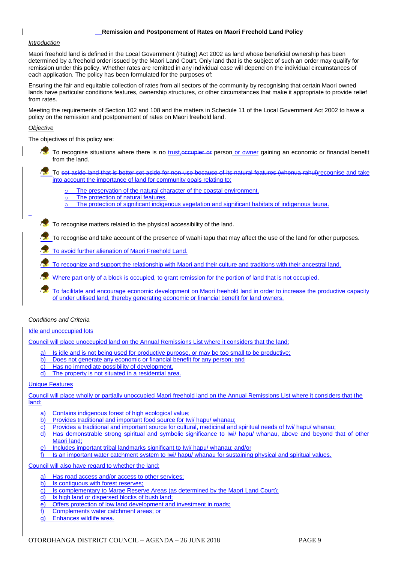#### **Remission and Postponement of Rates on Maori Freehold Land Policy**

#### *Introduction*

Maori freehold land is defined in the Local Government (Rating) Act 2002 as land whose beneficial ownership has been determined by a freehold order issued by the Maori Land Court. Only land that is the subject of such an order may qualify for remission under this policy. Whether rates are remitted in any individual case will depend on the individual circumstances of each application. The policy has been formulated for the purposes of:

Ensuring the fair and equitable collection of rates from all sectors of the community by recognising that certain Maori owned lands have particular conditions features, ownership structures, or other circumstances that make it appropriate to provide relief from rates.

Meeting the requirements of Section 102 and 108 and the matters in Schedule 11 of the Local Government Act 2002 to have a policy on the remission and postponement of rates on Maori freehold land.

#### *Objective*

–

The objectives of this policy are:

To recognise situations where there is no trust, occupier or person or owner gaining an economic or financial benefit from the land.

To set aside land that is better set aside for non-use because of its natural features (whenua rahui)recognise and take into account the importance of land for community goals relating to:

- The preservation of the natural character of the coastal environment.
- o The protection of natural features.
- o The protection of significant indigenous vegetation and significant habitats of indigenous fauna.

 $\sqrt{\mathbf{x}}$  To recognise matters related to the physical accessibility of the land.

To recognise and take account of the presence of waahi tapu that may affect the use of the land for other purposes.

To avoid further alienation of Maori Freehold Land.

To recognize and support the relationship with Maori and their culture and traditions with their ancestral land.

Where part only of a block is occupied, to grant remission for the portion of land that is not occupied.

To facilitate and encourage economic development on Maori freehold land in order to increase the productive capacity of under utilised land, thereby generating economic or financial benefit for land owners.

#### *Conditions and Criteria*

Idle and unoccupied lots

Council will place unoccupied land on the Annual Remissions List where it considers that the land:

- Is idle and is not being used for productive purpose, or may be too small to be productive;
- b) Does not generate any economic or financial benefit for any person; and
- c) Has no immediate possibility of development.
- d) The property is not situated in a residential area.

#### Unique Features

Council will place wholly or partially unoccupied Maori freehold land on the Annual Remissions List where it considers that the land:

- Contains indigenous forest of high ecological value;
- b) Provides traditional and important food source for Iwi/ hapu/ whanau;
- c) Provides a traditional and important source for cultural, medicinal and spiritual needs of Iwi/ hapu/ whanau;
- d) Has demonstrable strong spiritual and symbolic significance to Iwi/ hapu/ whanau, above and beyond that of other Maori land;
- Includes important tribal landmarks significant to Iwi/ hapu/ whanau; and/or
- f) Is an important water catchment system to Iwi/ hapu/ whanau for sustaining physical and spiritual values.

Council will also have regard to whether the land:

- a) Has road access and/or access to other services;
- b) Is contiguous with forest reserves;
- c) Is complementary to Marae Reserve Areas (as determined by the Maori Land Court);
- d) Is high land or dispersed blocks of bush land;
- e) Offers protection of low land development and investment in roads;
- f) Complements water catchment areas; or
- g) Enhances wildlife area.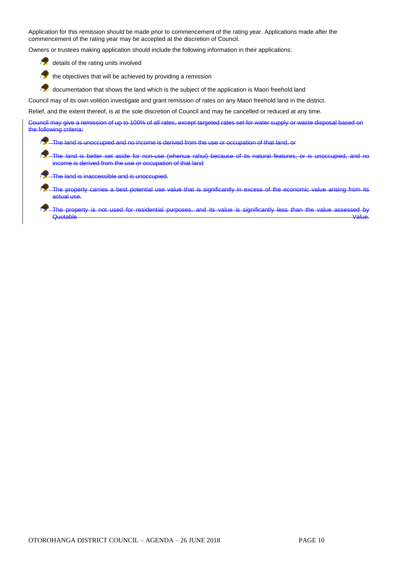Application for this remission should be made prior to commencement of the rating year. Applications made after the commencement of the rating year may be accepted at the discretion of Council.

Owners or trustees making application should include the following information in their applications:

details of the rating units involved

 $\mathcal{L}_{\mathbf{z}}$ the objectives that will be achieved by providing a remission

documentation that shows the land which is the subject of the application is Maori freehold land

Council may of its own volition investigate and grant remission of rates on any Maori freehold land in the district.

Relief, and the extent thereof, is at the sole discretion of Council and may be cancelled or reduced at any time.

Council may give a remission of up to 100% of all rates, except targeted rates set for water supply or waste disposal based on the following criteria:

The land is unoccupied and no income is derived from the use or occupation of that land, or

The land is better set aside for non-use (whenua rahui) because of its natural features, or is unoccupied, and no income is derived from the use or occupation of that land

The land is inaccessible and is unoccupied.

The property carries a best potential use value that is significantly in excess of the economic value arising from its actual use.

The property is not used for residential purposes, and its value is significantly less than the value assessed by<br>Quotable Quotable Value.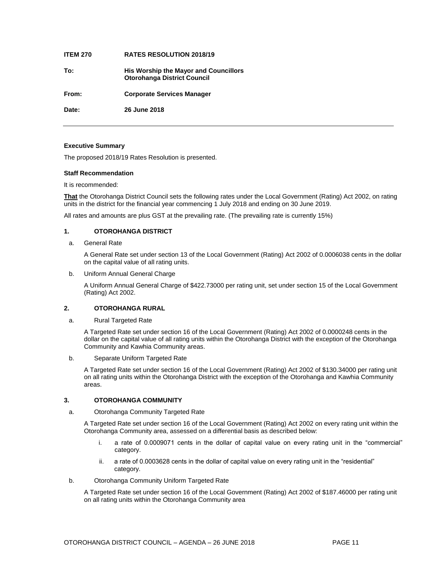#### **ITEM 270 RATES RESOLUTION 2018/19**

**To: His Worship the Mayor and Councillors Otorohanga District Council**

**From: Corporate Services Manager**

**Date: 26 June 2018**

#### **Executive Summary**

The proposed 2018/19 Rates Resolution is presented.

#### **Staff Recommendation**

#### It is recommended:

**That** the Otorohanga District Council sets the following rates under the Local Government (Rating) Act 2002, on rating units in the district for the financial year commencing 1 July 2018 and ending on 30 June 2019.

All rates and amounts are plus GST at the prevailing rate. (The prevailing rate is currently 15%)

#### **1. OTOROHANGA DISTRICT**

#### a. General Rate

A General Rate set under section 13 of the Local Government (Rating) Act 2002 of 0.0006038 cents in the dollar on the capital value of all rating units.

b. Uniform Annual General Charge

A Uniform Annual General Charge of \$422.73000 per rating unit, set under section 15 of the Local Government (Rating) Act 2002.

#### **2. OTOROHANGA RURAL**

#### a. Rural Targeted Rate

A Targeted Rate set under section 16 of the Local Government (Rating) Act 2002 of 0.0000248 cents in the dollar on the capital value of all rating units within the Otorohanga District with the exception of the Otorohanga Community and Kawhia Community areas.

b. Separate Uniform Targeted Rate

A Targeted Rate set under section 16 of the Local Government (Rating) Act 2002 of \$130.34000 per rating unit on all rating units within the Otorohanga District with the exception of the Otorohanga and Kawhia Community areas.

#### **3. OTOROHANGA COMMUNITY**

a. Otorohanga Community Targeted Rate

A Targeted Rate set under section 16 of the Local Government (Rating) Act 2002 on every rating unit within the Otorohanga Community area, assessed on a differential basis as described below:

- i. a rate of 0.0009071 cents in the dollar of capital value on every rating unit in the "commercial" category.
- ii. a rate of 0.0003628 cents in the dollar of capital value on every rating unit in the "residential" category.
- b. Otorohanga Community Uniform Targeted Rate

A Targeted Rate set under section 16 of the Local Government (Rating) Act 2002 of \$187.46000 per rating unit on all rating units within the Otorohanga Community area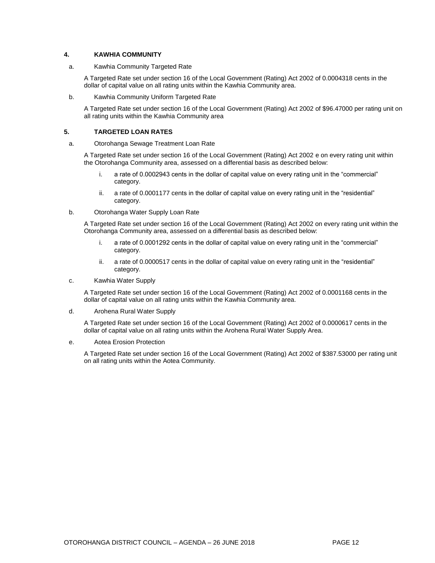#### **4. KAWHIA COMMUNITY**

#### a. Kawhia Community Targeted Rate

A Targeted Rate set under section 16 of the Local Government (Rating) Act 2002 of 0.0004318 cents in the dollar of capital value on all rating units within the Kawhia Community area.

b. Kawhia Community Uniform Targeted Rate

A Targeted Rate set under section 16 of the Local Government (Rating) Act 2002 of \$96.47000 per rating unit on all rating units within the Kawhia Community area

#### **5. TARGETED LOAN RATES**

a. Otorohanga Sewage Treatment Loan Rate

A Targeted Rate set under section 16 of the Local Government (Rating) Act 2002 e on every rating unit within the Otorohanga Community area, assessed on a differential basis as described below:

- i. a rate of 0.0002943 cents in the dollar of capital value on every rating unit in the "commercial" category.
- ii. a rate of 0.0001177 cents in the dollar of capital value on every rating unit in the "residential" category.
- b. Otorohanga Water Supply Loan Rate

A Targeted Rate set under section 16 of the Local Government (Rating) Act 2002 on every rating unit within the Otorohanga Community area, assessed on a differential basis as described below:

- i. a rate of 0.0001292 cents in the dollar of capital value on every rating unit in the "commercial" category.
- ii. a rate of 0.0000517 cents in the dollar of capital value on every rating unit in the "residential" category.
- c. Kawhia Water Supply

A Targeted Rate set under section 16 of the Local Government (Rating) Act 2002 of 0.0001168 cents in the dollar of capital value on all rating units within the Kawhia Community area.

d. Arohena Rural Water Supply

A Targeted Rate set under section 16 of the Local Government (Rating) Act 2002 of 0.0000617 cents in the dollar of capital value on all rating units within the Arohena Rural Water Supply Area.

e. Aotea Erosion Protection

A Targeted Rate set under section 16 of the Local Government (Rating) Act 2002 of \$387.53000 per rating unit on all rating units within the Aotea Community.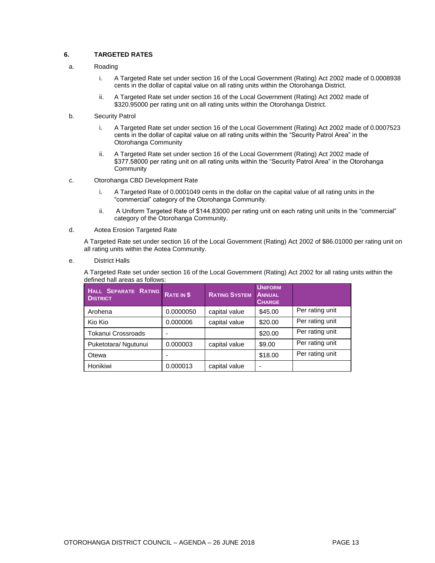#### **6. TARGETED RATES**

- a. Roading
	- i. A Targeted Rate set under section 16 of the Local Government (Rating) Act 2002 made of 0.0008938 cents in the dollar of capital value on all rating units within the Otorohanga District.
	- ii. A Targeted Rate set under section 16 of the Local Government (Rating) Act 2002 made of \$320.95000 per rating unit on all rating units within the Otorohanga District.
- b. Security Patrol
	- i. A Targeted Rate set under section 16 of the Local Government (Rating) Act 2002 made of 0.0007523 cents in the dollar of capital value on all rating units within the "Security Patrol Area" in the Otorohanga Community
	- ii. A Targeted Rate set under section 16 of the Local Government (Rating) Act 2002 made of \$377.58000 per rating unit on all rating units within the "Security Patrol Area" in the Otorohanga **Community**
- c. Otorohanga CBD Development Rate
	- i. A Targeted Rate of 0.0001049 cents in the dollar on the capital value of all rating units in the "commercial" category of the Otorohanga Community.
	- ii. A Uniform Targeted Rate of \$144.83000 per rating unit on each rating unit units in the "commercial" category of the Otorohanga Community.
- d. Aotea Erosion Targeted Rate

A Targeted Rate set under section 16 of the Local Government (Rating) Act 2002 of \$86.01000 per rating unit on all rating units within the Aotea Community.

e. District Halls

A Targeted Rate set under section 16 of the Local Government (Rating) Act 2002 for all rating units within the defined hall areas as follows:

| HALL SEPARATE RATING<br><b>DISTRICT</b> | RATE IN \$ | <b>RATING SYSTEM</b> | <b>UNIFORM</b><br><b>ANNUAL</b><br><b>CHARGE</b> |                 |
|-----------------------------------------|------------|----------------------|--------------------------------------------------|-----------------|
| Arohena                                 | 0.0000050  | capital value        | \$45.00                                          | Per rating unit |
| Kio Kio                                 | 0.000006   | capital value        | \$20.00                                          | Per rating unit |
| Tokanui Crossroads                      |            |                      | \$20.00                                          | Per rating unit |
| Puketotara/ Ngutunui                    | 0.000003   | capital value        | \$9.00                                           | Per rating unit |
| Otewa                                   |            |                      | \$18.00                                          | Per rating unit |
| Honikiwi                                | 0.000013   | capital value        |                                                  |                 |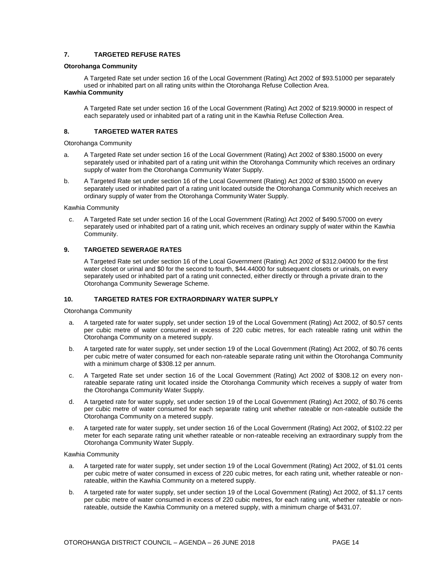#### **7. TARGETED REFUSE RATES**

#### **Otorohanga Community**

A Targeted Rate set under section 16 of the Local Government (Rating) Act 2002 of \$93.51000 per separately used or inhabited part on all rating units within the Otorohanga Refuse Collection Area. **Kawhia Community**

A Targeted Rate set under section 16 of the Local Government (Rating) Act 2002 of \$219.90000 in respect of each separately used or inhabited part of a rating unit in the Kawhia Refuse Collection Area.

#### **8. TARGETED WATER RATES**

Otorohanga Community

- a. A Targeted Rate set under section 16 of the Local Government (Rating) Act 2002 of \$380.15000 on every separately used or inhabited part of a rating unit within the Otorohanga Community which receives an ordinary supply of water from the Otorohanga Community Water Supply.
- b. A Targeted Rate set under section 16 of the Local Government (Rating) Act 2002 of \$380.15000 on every separately used or inhabited part of a rating unit located outside the Otorohanga Community which receives an ordinary supply of water from the Otorohanga Community Water Supply.

Kawhia Community

c. A Targeted Rate set under section 16 of the Local Government (Rating) Act 2002 of \$490.57000 on every separately used or inhabited part of a rating unit, which receives an ordinary supply of water within the Kawhia Community.

#### **9. TARGETED SEWERAGE RATES**

A Targeted Rate set under section 16 of the Local Government (Rating) Act 2002 of \$312.04000 for the first water closet or urinal and \$0 for the second to fourth, \$44.44000 for subsequent closets or urinals, on every separately used or inhabited part of a rating unit connected, either directly or through a private drain to the Otorohanga Community Sewerage Scheme.

#### **10. TARGETED RATES FOR EXTRAORDINARY WATER SUPPLY**

Otorohanga Community

- a. A targeted rate for water supply, set under section 19 of the Local Government (Rating) Act 2002, of \$0.57 cents per cubic metre of water consumed in excess of 220 cubic metres, for each rateable rating unit within the Otorohanga Community on a metered supply.
- b. A targeted rate for water supply, set under section 19 of the Local Government (Rating) Act 2002, of \$0.76 cents per cubic metre of water consumed for each non-rateable separate rating unit within the Otorohanga Community with a minimum charge of \$308.12 per annum.
- c. A Targeted Rate set under section 16 of the Local Government (Rating) Act 2002 of \$308.12 on every nonrateable separate rating unit located inside the Otorohanga Community which receives a supply of water from the Otorohanga Community Water Supply.
- d. A targeted rate for water supply, set under section 19 of the Local Government (Rating) Act 2002, of \$0.76 cents per cubic metre of water consumed for each separate rating unit whether rateable or non-rateable outside the Otorohanga Community on a metered supply.
- e. A targeted rate for water supply, set under section 16 of the Local Government (Rating) Act 2002, of \$102.22 per meter for each separate rating unit whether rateable or non-rateable receiving an extraordinary supply from the Otorohanga Community Water Supply.

Kawhia Community

- a. A targeted rate for water supply, set under section 19 of the Local Government (Rating) Act 2002, of \$1.01 cents per cubic metre of water consumed in excess of 220 cubic metres, for each rating unit, whether rateable or nonrateable, within the Kawhia Community on a metered supply.
- b. A targeted rate for water supply, set under section 19 of the Local Government (Rating) Act 2002, of \$1.17 cents per cubic metre of water consumed in excess of 220 cubic metres, for each rating unit, whether rateable or nonrateable, outside the Kawhia Community on a metered supply, with a minimum charge of \$431.07.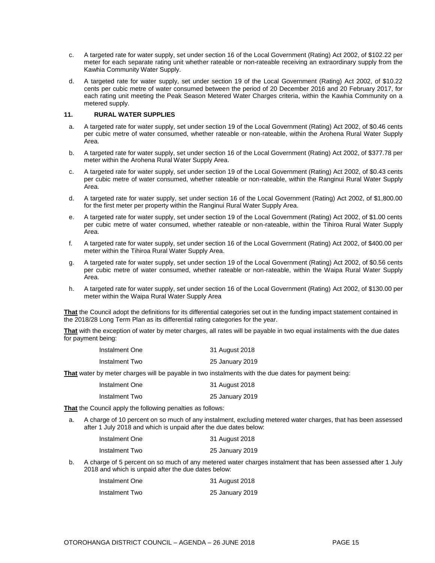- c. A targeted rate for water supply, set under section 16 of the Local Government (Rating) Act 2002, of \$102.22 per meter for each separate rating unit whether rateable or non-rateable receiving an extraordinary supply from the Kawhia Community Water Supply.
- d. A targeted rate for water supply, set under section 19 of the Local Government (Rating) Act 2002, of \$10.22 cents per cubic metre of water consumed between the period of 20 December 2016 and 20 February 2017, for each rating unit meeting the Peak Season Metered Water Charges criteria, within the Kawhia Community on a metered supply.

#### **11. RURAL WATER SUPPLIES**

- a. A targeted rate for water supply, set under section 19 of the Local Government (Rating) Act 2002, of \$0.46 cents per cubic metre of water consumed, whether rateable or non-rateable, within the Arohena Rural Water Supply Area.
- b. A targeted rate for water supply, set under section 16 of the Local Government (Rating) Act 2002, of \$377.78 per meter within the Arohena Rural Water Supply Area.
- c. A targeted rate for water supply, set under section 19 of the Local Government (Rating) Act 2002, of \$0.43 cents per cubic metre of water consumed, whether rateable or non-rateable, within the Ranginui Rural Water Supply Area.
- d. A targeted rate for water supply, set under section 16 of the Local Government (Rating) Act 2002, of \$1,800.00 for the first meter per property within the Ranginui Rural Water Supply Area.
- e. A targeted rate for water supply, set under section 19 of the Local Government (Rating) Act 2002, of \$1.00 cents per cubic metre of water consumed, whether rateable or non-rateable, within the Tihiroa Rural Water Supply Area.
- f. A targeted rate for water supply, set under section 16 of the Local Government (Rating) Act 2002, of \$400.00 per meter within the Tihiroa Rural Water Supply Area.
- g. A targeted rate for water supply, set under section 19 of the Local Government (Rating) Act 2002, of \$0.56 cents per cubic metre of water consumed, whether rateable or non-rateable, within the Waipa Rural Water Supply Area.
- h. A targeted rate for water supply, set under section 16 of the Local Government (Rating) Act 2002, of \$130.00 per meter within the Waipa Rural Water Supply Area

**That** the Council adopt the definitions for its differential categories set out in the funding impact statement contained in the 2018/28 Long Term Plan as its differential rating categories for the year.

**That** with the exception of water by meter charges, all rates will be payable in two equal instalments with the due dates for payment being:

| Instalment One | 31 August 2018  |
|----------------|-----------------|
| Instalment Two | 25 January 2019 |

**That** water by meter charges will be payable in two instalments with the due dates for payment being:

| Instalment One | 31 August 2018  |
|----------------|-----------------|
| Instalment Two | 25 January 2019 |

**That** the Council apply the following penalties as follows:

a. A charge of 10 percent on so much of any instalment, excluding metered water charges, that has been assessed after 1 July 2018 and which is unpaid after the due dates below:

| Instalment One | 31 August 2018  |
|----------------|-----------------|
| Instalment Two | 25 January 2019 |

b. A charge of 5 percent on so much of any metered water charges instalment that has been assessed after 1 July 2018 and which is unpaid after the due dates below:

| Instalment One | 31 August 2018  |
|----------------|-----------------|
| Instalment Two | 25 January 2019 |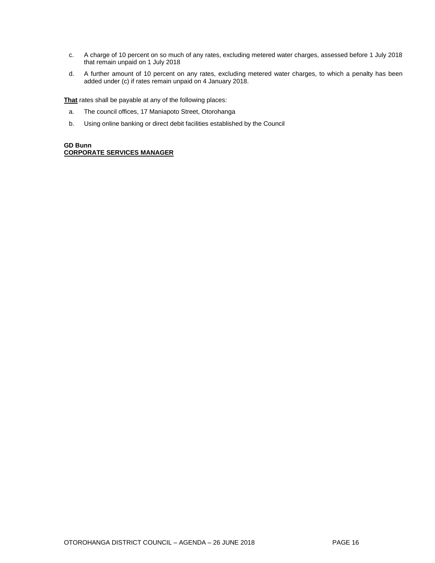- c. A charge of 10 percent on so much of any rates, excluding metered water charges, assessed before 1 July 2018 that remain unpaid on 1 July 2018
- d. A further amount of 10 percent on any rates, excluding metered water charges, to which a penalty has been added under (c) if rates remain unpaid on 4 January 2018.

**That** rates shall be payable at any of the following places:

- a. The council offices, 17 Maniapoto Street, Otorohanga
- b. Using online banking or direct debit facilities established by the Council

#### **GD Bunn CORPORATE SERVICES MANAGER**